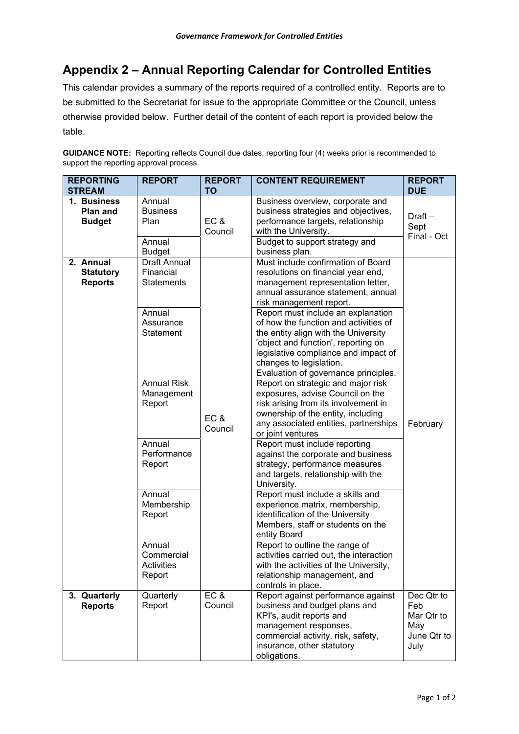## **Appendix 2 – Annual Reporting Calendar for Controlled Entities**

This calendar provides a summary of the reports required of a controlled entity. Reports are to be submitted to the Secretariat for issue to the appropriate Committee or the Council, unless otherwise provided below. Further detail of the content of each report is provided below the table.

**GUIDANCE NOTE:** Reporting reflects Council due dates, reporting four (4) weeks prior is recommended to support the reporting approval process.

| <b>REPORTING</b><br><b>STREAM</b>               | <b>REPORT</b>                                                                             | <b>REPORT</b><br><b>TO</b> | <b>CONTENT REQUIREMENT</b>                                                                                                                                                                                                                                                                                                                                                                                                                              | <b>REPORT</b><br><b>DUE</b>                                   |
|-------------------------------------------------|-------------------------------------------------------------------------------------------|----------------------------|---------------------------------------------------------------------------------------------------------------------------------------------------------------------------------------------------------------------------------------------------------------------------------------------------------------------------------------------------------------------------------------------------------------------------------------------------------|---------------------------------------------------------------|
| 1. Business<br>Plan and<br><b>Budget</b>        | Annual<br><b>Business</b><br>Plan<br>Annual<br><b>Budget</b>                              | <b>EC &amp;</b><br>Council | Business overview, corporate and<br>business strategies and objectives,<br>performance targets, relationship<br>with the University.<br>Budget to support strategy and<br>business plan.                                                                                                                                                                                                                                                                | Draft-<br>Sept<br>Final - Oct                                 |
| 2. Annual<br><b>Statutory</b><br><b>Reports</b> | <b>Draft Annual</b><br>Financial<br><b>Statements</b><br>Annual<br>Assurance<br>Statement |                            | Must include confirmation of Board<br>resolutions on financial year end,<br>management representation letter,<br>annual assurance statement, annual<br>risk management report.<br>Report must include an explanation<br>of how the function and activities of<br>the entity align with the University<br>'object and function', reporting on<br>legislative compliance and impact of<br>changes to legislation.<br>Evaluation of governance principles. |                                                               |
|                                                 | <b>Annual Risk</b><br>Management<br>Report                                                | EC&<br>Council             | Report on strategic and major risk<br>exposures, advise Council on the<br>risk arising from its involvement in<br>ownership of the entity, including<br>any associated entities, partnerships<br>or joint ventures                                                                                                                                                                                                                                      | February                                                      |
|                                                 | Annual<br>Performance<br>Report                                                           |                            | Report must include reporting<br>against the corporate and business<br>strategy, performance measures<br>and targets, relationship with the<br>University.                                                                                                                                                                                                                                                                                              |                                                               |
|                                                 | Annual<br>Membership<br>Report                                                            |                            | Report must include a skills and<br>experience matrix, membership,<br>identification of the University<br>Members, staff or students on the<br>entity Board                                                                                                                                                                                                                                                                                             |                                                               |
|                                                 | Annual<br>Commercial<br>Activities<br>Report                                              |                            | Report to outline the range of<br>activities carried out, the interaction<br>with the activities of the University,<br>relationship management, and<br>controls in place.                                                                                                                                                                                                                                                                               |                                                               |
| 3. Quarterly<br><b>Reports</b>                  | Quarterly<br>Report                                                                       | EC &<br>Council            | Report against performance against<br>business and budget plans and<br>KPI's, audit reports and<br>management responses,<br>commercial activity, risk, safety,<br>insurance, other statutory<br>obligations.                                                                                                                                                                                                                                            | Dec Qtr to<br>Feb<br>Mar Qtr to<br>May<br>June Qtr to<br>July |